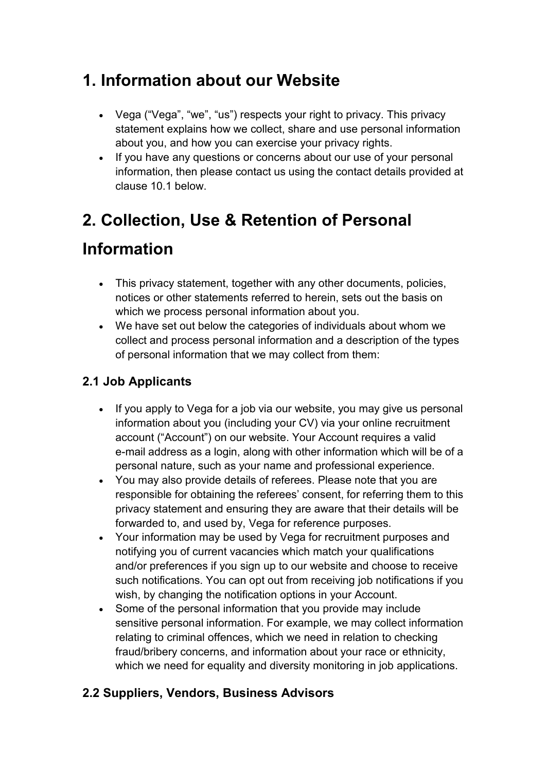### **1. Information about our Website**

- Vega ("Vega", "we", "us") respects your right to privacy. This privacy statement explains how we collect, share and use personal information about you, and how you can exercise your privacy rights.
- If you have any questions or concerns about our use of your personal information, then please contact us using the contact details provided at clause 10.1 below.

## **2. Collection, Use & Retention of Personal**

### **Information**

- This privacy statement, together with any other documents, policies, notices or other statements referred to herein, sets out the basis on which we process personal information about you.
- We have set out below the categories of individuals about whom we collect and process personal information and a description of the types of personal information that we may collect from them:

#### **2.1 Job Applicants**

- If you apply to Vega for a job via our website, you may give us personal information about you (including your CV) via your online recruitment account ("Account") on our website. Your Account requires a valid e-mail address as a login, along with other information which will be of a personal nature, such as your name and professional experience.
- You may also provide details of referees. Please note that you are responsible for obtaining the referees' consent, for referring them to this privacy statement and ensuring they are aware that their details will be forwarded to, and used by, Vega for reference purposes.
- Your information may be used by Vega for recruitment purposes and notifying you of current vacancies which match your qualifications and/or preferences if you sign up to our website and choose to receive such notifications. You can opt out from receiving job notifications if you wish, by changing the notification options in your Account.
- Some of the personal information that you provide may include sensitive personal information. For example, we may collect information relating to criminal offences, which we need in relation to checking fraud/bribery concerns, and information about your race or ethnicity, which we need for equality and diversity monitoring in job applications.

#### **2.2 Suppliers, Vendors, Business Advisors**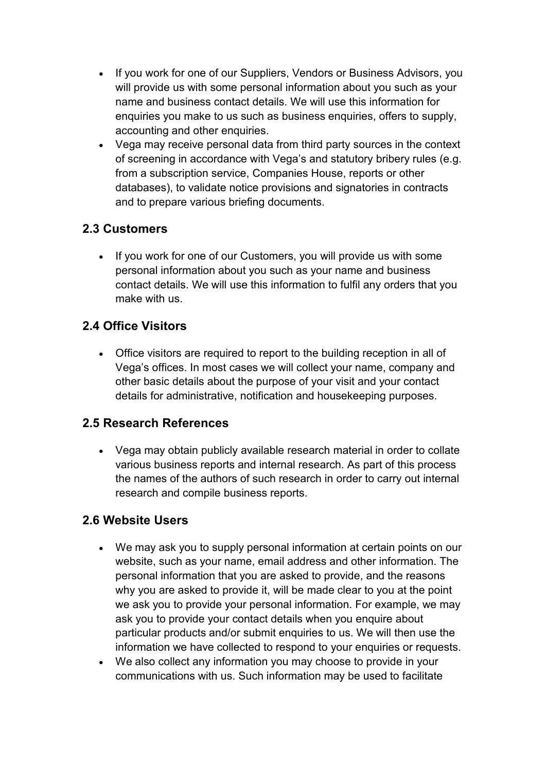- If you work for one of our Suppliers, Vendors or Business Advisors, you will provide us with some personal information about you such as your name and business contact details. We will use this information for enquiries you make to us such as business enquiries, offers to supply, accounting and other enquiries.
- Vega may receive personal data from third party sources in the context of screening in accordance with Vega's and statutory bribery rules (e.g. from a subscription service, Companies House, reports or other databases), to validate notice provisions and signatories in contracts and to prepare various briefing documents.

#### **2.3 Customers**

• If you work for one of our Customers, you will provide us with some personal information about you such as your name and business contact details. We will use this information to fulfil any orders that you make with us.

#### **2.4 Office Visitors**

 Office visitors are required to report to the building reception in all of Vega's offices. In most cases we will collect your name, company and other basic details about the purpose of your visitand your contact details for administrative, notification and housekeeping purposes.

#### **2.5 Research References**

 Vega may obtain publicly available research material in order to collate various business reports and internal research. As part of this process the names of the authors of such research in order to carry out internal research and compile business reports.

#### **2.6 Website Users**

- We may ask you to supply personal information at certain points on our website, such as your name, email address and other information. The personal information that you are asked to provide, and the reasons why you are asked to provide it, will be made clear to you at the point we ask you to provide your personal information. For example, we may ask you to provide your contact details when you enquire about particular products and/or submit enquiries to us. We will then use the information we have collected to respond to your enquiries or requests.
- We also collect any information you may choose to provide in your communications with us. Such information may be used to facilitate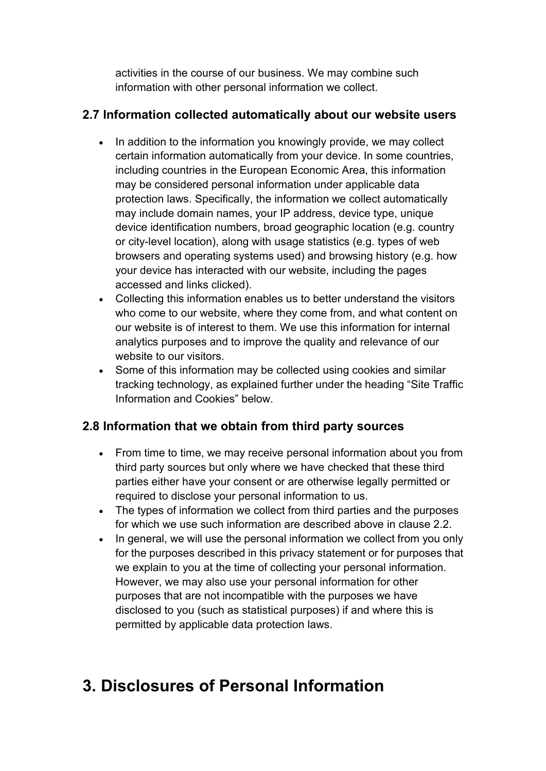activities in the course of our business. We may combine such information with other personal information we collect.

#### **2.7 Information collected automatically about our website users**

- In addition to the information you knowingly provide, we may collect certain information automatically from your device. In some countries, including countries in the European Economic Area, this information may be considered personal information under applicable data protection laws. Specifically, the information we collect automatically may include domain names, your IP address, device type, unique device identification numbers, broad geographic location (e.g. country or city-level location), along with usage statistics (e.g. types of web browsers and operating systems used) and browsing history (e.g. how your device has interacted with our website, including the pages accessed and links clicked).
- Collecting this information enables us to better understand the visitors who come to our website, where they come from, and what content on our website is of interest to them. We use this information for internal analytics purposes and to improve the quality and relevance of our website to our visitors.
- Some of this information may be collected using cookies and similar tracking technology, as explained further under the heading "Site Traffic Information and Cookies"below.

#### **2.8 Information that we obtain from third party sources**

- From time to time, we may receive personal information about you from third party sources but only where we have checked that these third parties either have your consent or are otherwise legally permitted or required to disclose your personal information to us.
- The types of information we collect from third parties and the purposes for which we use such information are described above in clause 2.2.
- In general, we will use the personal information we collect from you only for the purposes described in this privacy statement or for purposes that we explain to you at the time of collecting your personal information. However, we may also use your personal information for other purposes that are not incompatible with the purposes we have disclosed to you (such as statistical purposes) if and where this is permitted by applicable data protection laws.

### **3. Disclosures of Personal Information**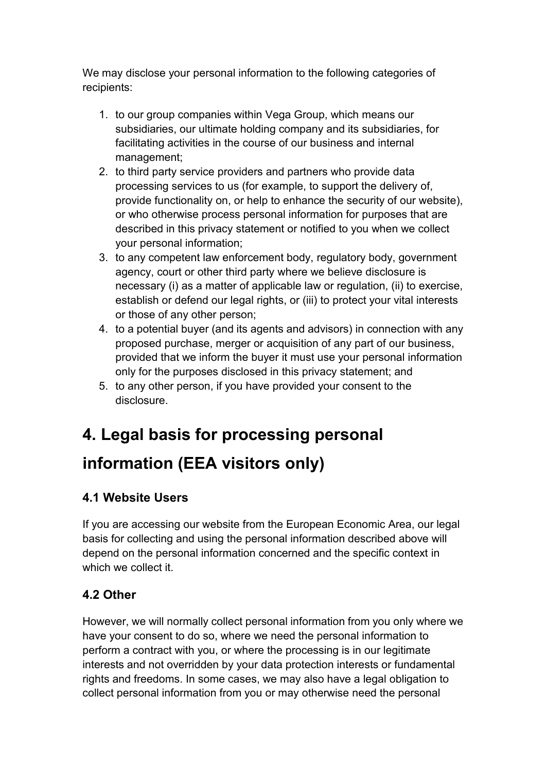We may disclose your personal information to the following categories of recipients:

- 1. to our group companies within Vega Group, which means our subsidiaries, our ultimate holding company and its subsidiaries, for facilitating activities in the course of our business and internal management;
- 2. to third party service providers and partners who provide data processing services to us (for example, to support the delivery of, provide functionality on, or help to enhance the security of our website), or who otherwise process personal information for purposes that are described in this privacy statement or notified to you when we collect your personal information;
- 3. to any competent law enforcement body, regulatory body, government agency, court or other third party where we believe disclosure is necessary (i) as a matter of applicable law or regulation, (ii) to exercise, establish or defend our legal rights, or (iii) to protect your vital interests or those of any other person;
- 4. to a potential buyer (and its agents and advisors) in connection with any proposed purchase, merger or acquisition of any part of our business, provided that we inform the buyer it must use your personal information only for the purposes disclosed in this privacy statement; and
- 5. to any other person, if you have provided your consent to the disclosure.

# **4. Legal basis for processing personal**

### **information (EEA visitors only)**

#### **4.1 Website Users**

If you are accessing our website from the European Economic Area, our legal basis for collecting and using the personal information described above will depend on the personal information concerned and the specific context in which we collect it.

#### **4.2 Other**

However, we will normally collect personal information from you only where we have your consent to do so, where we need the personal information to perform a contract with you, or where the processing is in our legitimate interests and not overridden by your data protection interests or fundamental rights and freedoms. In some cases, we may also have a legal obligation to collect personal information from you or may otherwise need the personal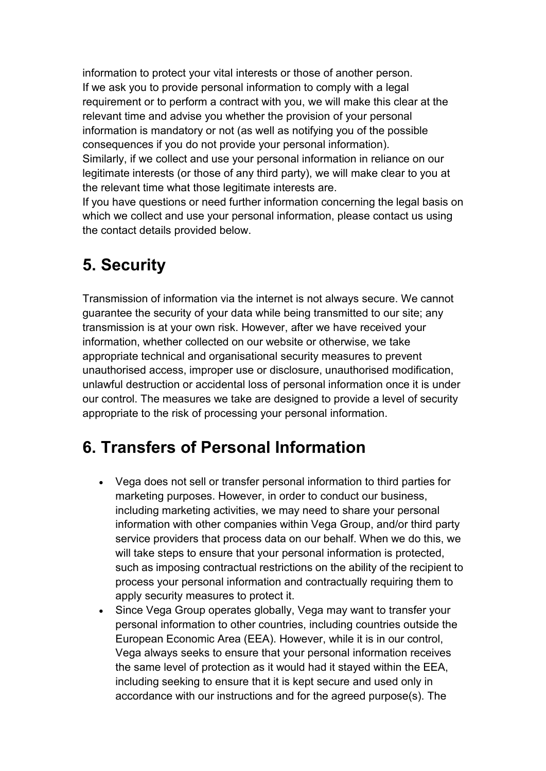information to protect your vital interests or those of another person. If we ask you to provide personal information to comply with a legal requirement or to perform a contract with you, we will make this clearat the relevant time and advise you whether the provision of your personal information is mandatory or not (as well as notifying you of the possible consequences if you do not provide your personal information). Similarly, if we collect and use your personal information in reliance on our legitimate interests (or those of any third party), we will make clear to you at the relevant time what those legitimate interests are.

If you have questions or need further information concerning the legal basis on which we collect and use your personal information, please contact us using the contact details provided below.

#### **5. Security**

Transmission of information via the internet is not always secure. We cannot guarantee the security of your data while being transmitted to our site; any transmission is at your own risk. However, after we have received your information, whether collected on our website or otherwise, we take appropriate technical and organisational security measures to prevent unauthorised access, improper use or disclosure, unauthorised modification, unlawful destruction or accidental loss of personal information once it is under our control. The measures we take are designed to provide a level of security appropriate to the risk of processing your personal information.

### **6. Transfers of Personal Information**

- Vega does not sell or transfer personal information to third parties for marketing purposes. However, in order to conduct our business, including marketing activities, we may need to share your personal information with other companies within Vega Group, and/or third party service providers that process data on our behalf. When we do this, we will take steps to ensure that your personal information is protected, such as imposing contractual restrictions on the ability of the recipient to process your personal information and contractually requiring them to apply security measures to protect it.
- Since Vega Group operates globally, Vega may want to transfer your personal information to other countries, including countries outside the European Economic Area (EEA). However, while it is in our control,<br>Vega always seeks to ensure that your personal information receives the same level of protection as it would had it stayed within the EEA, including seeking to ensure that it is kept secure and used only in accordance with our instructions and for the agreed purpose(s).The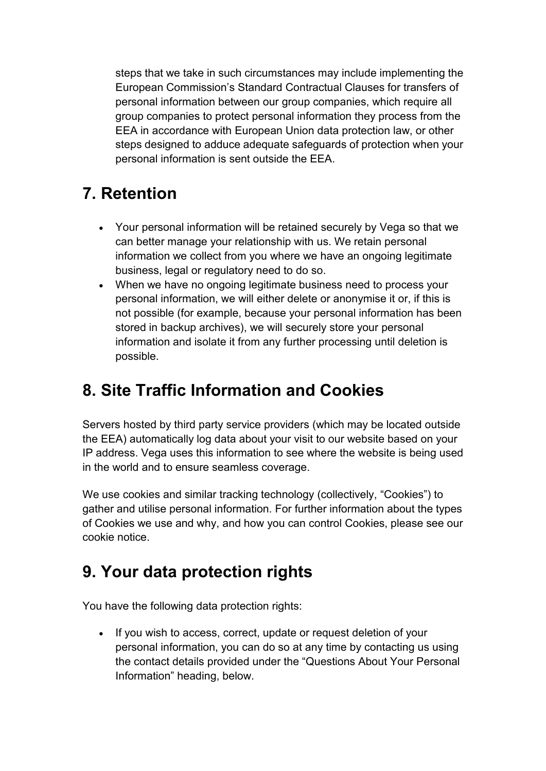steps that we take in such circumstances may include implementing the European Commission's Standard Contractual Clauses for transfers of personal information between our group companies, which require all group companies to protect personal information they process from the EEA in accordance with European Union data protection law, or other steps designed to adduce adequate safeguards of protection when your personal information is sent outside the EEA.

### **7. Retention**

- Your personal information will be retained securely by Vega so that we can better manage your relationship with us. We retain personal information we collect from you where we have an ongoing legitimate business, legal or regulatory need to do so.
- When we have no ongoing legitimate business need to process your personal information, we will either delete or anonymise it or, if this is not possible (for example, because your personal information has been stored in backup archives), we will securely store your personal information and isolate it from any further processing until deletion is possible.

### **8. Site Traffic Information and Cookies**

Servers hosted by third party service providers (which may be located outside the EEA) automatically log data about your visit to our website based on your IP address. Vega uses this information to see where the website is being used in the world and to ensure seamless coverage.

We use cookies and similar tracking technology (collectively, "Cookies") to gather and utilise personal information. For further information about the types of Cookies we use and why, and how you can control Cookies, please see our cookie notice.

### **9. Your data protection rights**

You have the following data protection rights:

• If you wish to access, correct, update or request deletion of your personal information, you can do so at any time by contacting us using the contact details provided under the "Questions About Your Personal Information" heading, below.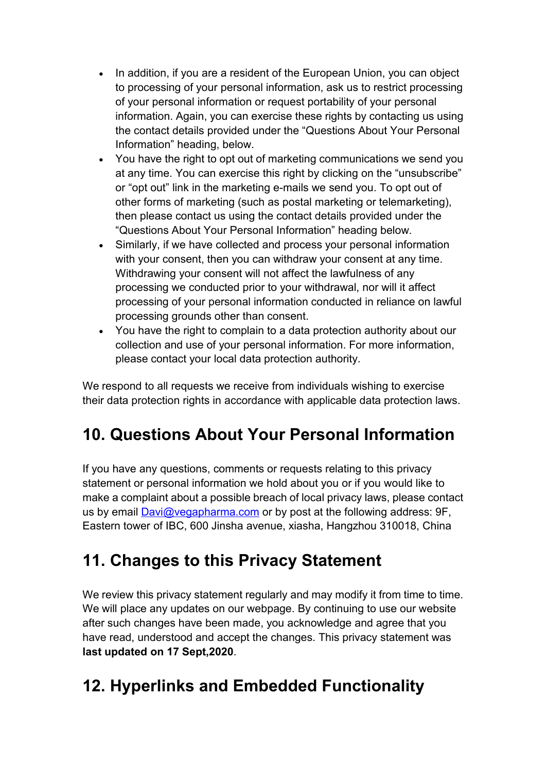- In addition, if you are a resident of the European Union, you can object to processing of your personal information, ask us to restrict processing of your personal information or request portability of your personal information. Again, you can exercise these rights by contacting us using the contact details provided under the "Questions About Your Personal Information" heading, below.
- You have the right to opt out of marketing communications we send you at any time. You can exercise this right by clicking on the "unsubscribe" or "opt out" link in the marketing e-mails we send you. To opt out of other forms of marketing (such as postal marketing or telemarketing), then please contact us using the contact details provided under the "Questions About Your Personal Information" heading below.
- Similarly, if we have collected and process your personal information with your consent, then you can withdraw your consent at any time. Withdrawing your consent will not affect the lawfulness of any processing we conducted prior to your withdrawal, nor will it affect processing of your personal information conducted in reliance on lawful processing grounds other than consent.
- You have the right to complain to a data protection authority about our collection and use of your personal information. For more information, please contact your local data protection authority.

We respond to all requests we receive from individuals wishing to exercise their data protection rights in accordance with applicable data protection laws.

### **10. Questions About Your Personal Information**

If you have any questions, comments or requests relating to this privacy statement or personal information we hold about you or if you would like to make a complaint about a possible breach of local privacy laws, please contact us by email **[Davi@vegapharma.com](mailto:Davi@vegapharma.com)** or by post at the following address: 9F, Eastern tower of IBC, 600 Jinsha avenue, xiasha, Hangzhou 310018, China

### **11. Changes to this Privacy Statement**

We review this privacy statement regularly and may modify it from time to time. We will place any updates on our webpage. By continuing to use our website after such changes have been made, you acknowledge and agree that you have read, understood and accept the changes. This privacy statement was **last updated on 17 Sept,2020**.

### **12. Hyperlinks and Embedded Functionality**